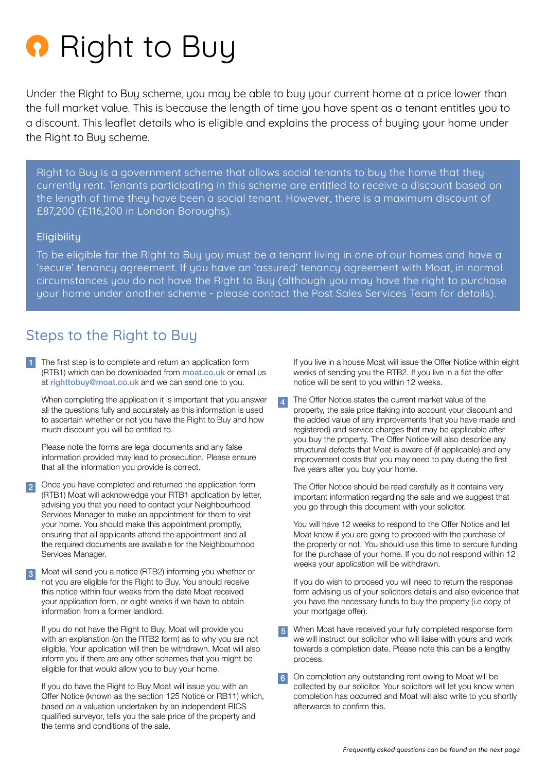

Under the Right to Buy scheme, you may be able to buy your current home at a price lower than the full market value. This is because the length of time you have spent as a tenant entitles you to a discount. This leaflet details who is eligible and explains the process of buying your home under the Right to Buy scheme.

Right to Buy is a government scheme that allows social tenants to buy the home that they currently rent. Tenants participating in this scheme are entitled to receive a discount based on the length of time they have been a social tenant. However, there is a maximum discount of £87,200 (£116,200 in London Boroughs).

#### **Eligibility**

To be eligible for the Right to Buy you must be a tenant living in one of our homes and have a 'secure' tenancy agreement. If you have an 'assured' tenancy agreement with Moat, in normal circumstances you do not have the Right to Buy (although you may have the right to purchase your home under another scheme - please contact the Post Sales Services Team for details).

## Steps to the Right to Buy

1 The first step is to complete and return an application form (RTB1) which can be downloaded from [moat.co.uk](http://moat.co.uk ) or email us at [righttobuy@moat.co.uk](mailto:righttobuy@moat.co.uk) and we can send one to you.

When completing the application it is important that you answer all the questions fully and accurately as this information is used to ascertain whether or not you have the Right to Buy and how much discount you will be entitled to.

Please note the forms are legal documents and any false information provided may lead to prosecution. Please ensure that all the information you provide is correct.

2 Once you have completed and returned the application form (RTB1) Moat will acknowledge your RTB1 application by letter, advising you that you need to contact your Neighbourhood Services Manager to make an appointment for them to visit your home. You should make this appointment promptly, ensuring that all applicants attend the appointment and all the required documents are available for the Neighbourhood Services Manager.

Moat will send you a notice (RTB2) informing you whether or not you are eligible for the Right to Buy. You should receive this notice within four weeks from the date Moat received your application form, or eight weeks if we have to obtain information from a former landlord. 3

If you do not have the Right to Buy, Moat will provide you with an explanation (on the RTB2 form) as to why you are not eligible. Your application will then be withdrawn. Moat will also inform you if there are any other schemes that you might be eligible for that would allow you to buy your home.

If you do have the Right to Buy Moat will issue you with an Offer Notice (known as the section 125 Notice or RB11) which, based on a valuation undertaken by an independent RICS qualified surveyor, tells you the sale price of the property and the terms and conditions of the sale.

If you live in a house Moat will issue the Offer Notice within eight weeks of sending you the RTB2. If you live in a flat the offer notice will be sent to you within 12 weeks.

The Offer Notice states the current market value of the property, the sale price (taking into account your discount and the added value of any improvements that you have made and registered) and service charges that may be applicable after you buy the property. The Offer Notice will also describe any structural defects that Moat is aware of (if applicable) and any improvement costs that you may need to pay during the first five years after you buy your home. 4

The Offer Notice should be read carefully as it contains very important information regarding the sale and we suggest that you go through this document with your solicitor.

You will have 12 weeks to respond to the Offer Notice and let Moat know if you are going to proceed with the purchase of the property or not. You should use this time to sercure funding for the purchase of your home. If you do not respond within 12 weeks your application will be withdrawn.

If you do wish to proceed you will need to return the response form advising us of your solicitors details and also evidence that you have the necessary funds to buy the property (i.e copy of your mortgage offer).

5 When Moat have received your fully completed response form we will instruct our solicitor who will liaise with yours and work towards a completion date. Please note this can be a lengthy process.

On completion any outstanding rent owing to Moat will be collected by our solicitor. Your solicitors will let you know when completion has occurred and Moat will also write to you shortly afterwards to confirm this. 6